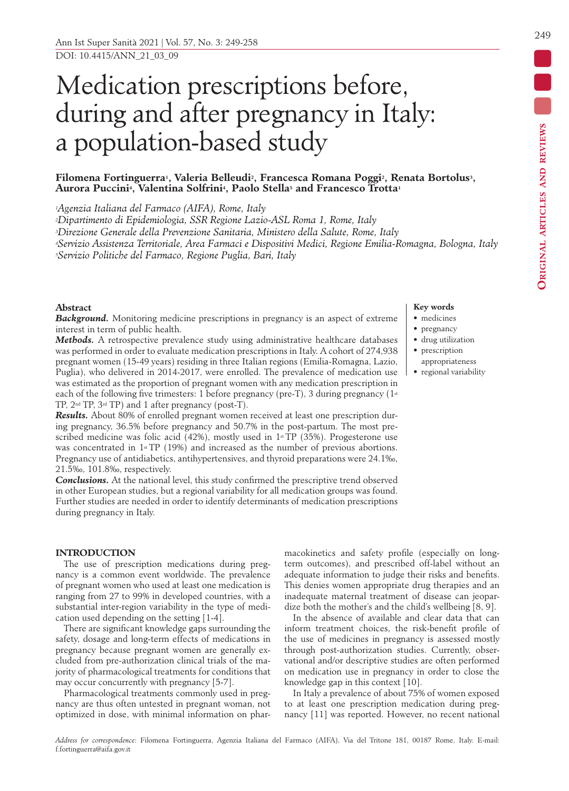# Medication prescriptions before, during and after pregnancy in Italy: a population-based study

## **Filomena Fortinguerra1, Valeria Belleudi2, Francesca Romana Poggi2, Renata Bortolus3, Aurora Puccini4, Valentina Solfrini4, Paolo Stella5 and Francesco Trotta1**

*1Agenzia Italiana del Farmaco (AIFA), Rome, Italy*

*2Dipartimento di Epidemiologia, SSR Regione Lazio-ASL Roma 1, Rome, Italy*

*3Direzione Generale della Prevenzione Sanitaria, Ministero della Salute, Rome, Italy*

*4Servizio Assistenza Territoriale, Area Farmaci e Dispositivi Medici, Regione Emilia-Romagna, Bologna, Italy 5Servizio Politiche del Farmaco, Regione Puglia, Bari, Italy*

#### **Abstract**

*Background.* Monitoring medicine prescriptions in pregnancy is an aspect of extreme interest in term of public health.

*Methods.* A retrospective prevalence study using administrative healthcare databases was performed in order to evaluate medication prescriptions in Italy. A cohort of 274,938 pregnant women (15-49 years) residing in three Italian regions (Emilia-Romagna, Lazio, Puglia), who delivered in 2014-2017, were enrolled. The prevalence of medication use was estimated as the proportion of pregnant women with any medication prescription in each of the following five trimesters: 1 before pregnancy (pre-T), 3 during pregnancy ( $1$ <sup>st</sup> TP, 2nd TP, 3rd TP) and 1 after pregnancy (post-T).

*Results.* About 80% of enrolled pregnant women received at least one prescription during pregnancy, 36.5% before pregnancy and 50.7% in the post-partum. The most prescribed medicine was folic acid  $(42\%)$ , mostly used in  $1 \times \text{TP } (35\%)$ . Progesterone use was concentrated in 1<sup>st</sup> TP (19%) and increased as the number of previous abortions. Pregnancy use of antidiabetics, antihypertensives, and thyroid preparations were 24.1‰, 21.5‰, 101.8‰, respectively.

*Conclusions.* At the national level, this study confirmed the prescriptive trend observed in other European studies, but a regional variability for all medication groups was found. Further studies are needed in order to identify determinants of medication prescriptions during pregnancy in Italy.

## **INTRODUCTION**

The use of prescription medications during pregnancy is a common event worldwide. The prevalence of pregnant women who used at least one medication is ranging from 27 to 99% in developed countries, with a substantial inter-region variability in the type of medication used depending on the setting [1-4].

There are significant knowledge gaps surrounding the safety, dosage and long-term effects of medications in pregnancy because pregnant women are generally excluded from pre-authorization clinical trials of the majority of pharmacological treatments for conditions that may occur concurrently with pregnancy [5-7].

Pharmacological treatments commonly used in pregnancy are thus often untested in pregnant woman, not optimized in dose, with minimal information on pharmacokinetics and safety profile (especially on longterm outcomes), and prescribed off-label without an adequate information to judge their risks and benefits. This denies women appropriate drug therapies and an inadequate maternal treatment of disease can jeopardize both the mother's and the child's wellbeing [8, 9].

**Key words** • medicines • pregnancy • drug utilization • prescription appropriateness • regional variability

In the absence of available and clear data that can inform treatment choices, the risk-benefit profile of the use of medicines in pregnancy is assessed mostly through post-authorization studies. Currently, observational and/or descriptive studies are often performed on medication use in pregnancy in order to close the knowledge gap in this context [10].

In Italy a prevalence of about 75% of women exposed to at least one prescription medication during pregnancy [11] was reported. However, no recent national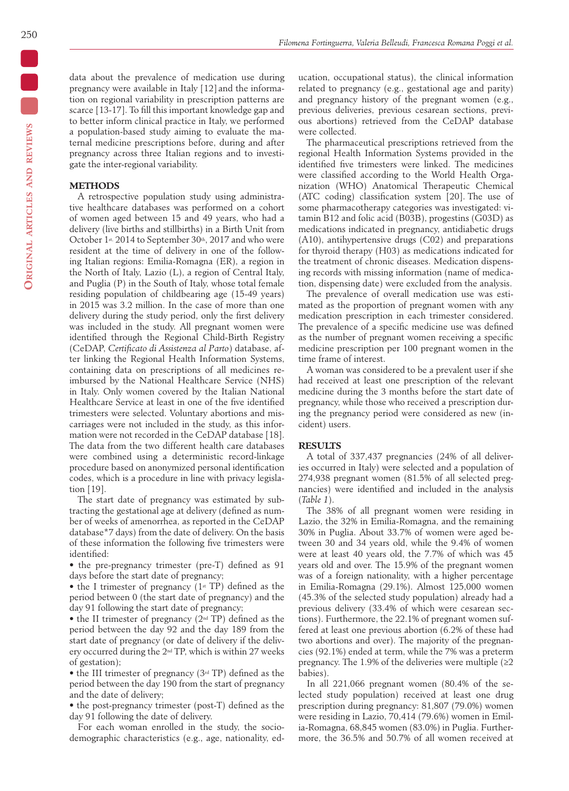data about the prevalence of medication use during pregnancy were available in Italy [12] and the information on regional variability in prescription patterns are scarce [13-17]. To fill this important knowledge gap and to better inform clinical practice in Italy, we performed a population-based study aiming to evaluate the maternal medicine prescriptions before, during and after pregnancy across three Italian regions and to investigate the inter-regional variability.

## **METHODS**

A retrospective population study using administrative healthcare databases was performed on a cohort of women aged between 15 and 49 years, who had a delivery (live births and stillbirths) in a Birth Unit from October 1st, 2014 to September 30th, 2017 and who were resident at the time of delivery in one of the following Italian regions: Emilia-Romagna (ER), a region in the North of Italy, Lazio (L), a region of Central Italy, and Puglia (P) in the South of Italy, whose total female residing population of childbearing age (15-49 years) in 2015 was 3.2 million. In the case of more than one delivery during the study period, only the first delivery was included in the study. All pregnant women were identified through the Regional Child-Birth Registry (CeDAP, *Certificato di Assistenza al Parto*) database, after linking the Regional Health Information Systems, containing data on prescriptions of all medicines reimbursed by the National Healthcare Service (NHS) in Italy. Only women covered by the Italian National Healthcare Service at least in one of the five identified trimesters were selected. Voluntary abortions and miscarriages were not included in the study, as this information were not recorded in the CeDAP database [18]. The data from the two different health care databases were combined using a deterministic record-linkage procedure based on anonymized personal identification codes, which is a procedure in line with privacy legislation [19].

The start date of pregnancy was estimated by subtracting the gestational age at delivery (defined as number of weeks of amenorrhea, as reported in the CeDAP database\*7 days) from the date of delivery. On the basis of these information the following five trimesters were identified:

• the pre-pregnancy trimester (pre-T) defined as 91 days before the start date of pregnancy;

• the I trimester of pregnancy  $(1 \times TP)$  defined as the period between 0 (the start date of pregnancy) and the day 91 following the start date of pregnancy;

• the II trimester of pregnancy  $(2<sup>nd</sup> TP)$  defined as the period between the day 92 and the day 189 from the start date of pregnancy (or date of delivery if the delivery occurred during the 2nd TP, which is within 27 weeks of gestation);

 $\bullet$  the III trimester of pregnancy ( $3rd$  TP) defined as the period between the day 190 from the start of pregnancy and the date of delivery;

• the post-pregnancy trimester (post-T) defined as the day 91 following the date of delivery.

For each woman enrolled in the study, the sociodemographic characteristics (e.g., age, nationality, education, occupational status), the clinical information related to pregnancy (e.g., gestational age and parity) and pregnancy history of the pregnant women (e.g., previous deliveries, previous cesarean sections, previous abortions) retrieved from the CeDAP database were collected.

The pharmaceutical prescriptions retrieved from the regional Health Information Systems provided in the identified five trimesters were linked. The medicines were classified according to the World Health Organization (WHO) Anatomical Therapeutic Chemical (ATC coding) classification system [20]. The use of some pharmacotherapy categories was investigated: vitamin B12 and folic acid (B03B), progestins (G03D) as medications indicated in pregnancy, antidiabetic drugs (A10), antihypertensive drugs (C02) and preparations for thyroid therapy (H03) as medications indicated for the treatment of chronic diseases. Medication dispensing records with missing information (name of medication, dispensing date) were excluded from the analysis.

The prevalence of overall medication use was estimated as the proportion of pregnant women with any medication prescription in each trimester considered. The prevalence of a specific medicine use was defined as the number of pregnant women receiving a specific medicine prescription per 100 pregnant women in the time frame of interest.

A woman was considered to be a prevalent user if she had received at least one prescription of the relevant medicine during the 3 months before the start date of pregnancy, while those who received a prescription during the pregnancy period were considered as new (incident) users.

#### **RESULTS**

A total of 337,437 pregnancies (24% of all deliveries occurred in Italy) were selected and a population of 274,938 pregnant women (81.5% of all selected pregnancies) were identified and included in the analysis (*Table 1*).

The 38% of all pregnant women were residing in Lazio, the 32% in Emilia-Romagna, and the remaining 30% in Puglia. About 33.7% of women were aged between 30 and 34 years old, while the 9.4% of women were at least 40 years old, the 7.7% of which was 45 years old and over. The 15.9% of the pregnant women was of a foreign nationality, with a higher percentage in Emilia-Romagna (29.1%). Almost 125,000 women (45.3% of the selected study population) already had a previous delivery (33.4% of which were cesarean sections). Furthermore, the 22.1% of pregnant women suffered at least one previous abortion (6.2% of these had two abortions and over). The majority of the pregnancies (92.1%) ended at term, while the 7% was a preterm pregnancy. The 1.9% of the deliveries were multiple  $(\geq 2)$ babies).

In all 221,066 pregnant women (80.4% of the selected study population) received at least one drug prescription during pregnancy: 81,807 (79.0%) women were residing in Lazio, 70,414 (79.6%) women in Emilia-Romagna, 68,845 women (83.0%) in Puglia. Furthermore, the 36.5% and 50.7% of all women received at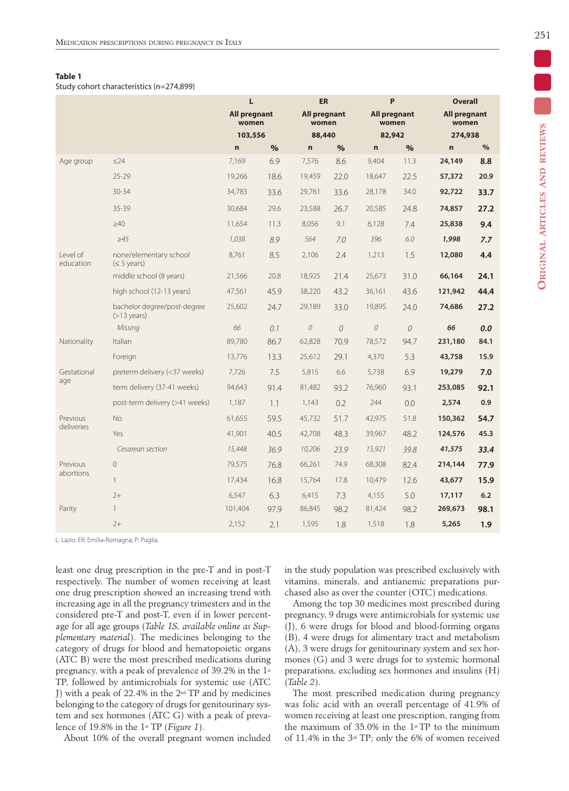#### **Table 1**

Study cohort characteristics (n=274,899)

|                       |                                               | L                     |      | <b>ER</b>  |                                                                                                                                                                                                                     | P            |          | <b>Overall</b>        |      |
|-----------------------|-----------------------------------------------|-----------------------|------|------------|---------------------------------------------------------------------------------------------------------------------------------------------------------------------------------------------------------------------|--------------|----------|-----------------------|------|
|                       |                                               | All pregnant<br>women |      |            | All pregnant<br>All pregnant<br>women<br>women<br>88,440<br>82,942<br>%<br>%<br>$\mathbf n$<br>$\mathbf n$<br>9,404<br>7,576<br>8.6<br>11.3<br>19,459<br>22.0<br>18,647<br>22.5<br>29,761<br>33.6<br>28,178<br>34.0 |              |          | All pregnant<br>women |      |
|                       |                                               | 103,556               |      |            |                                                                                                                                                                                                                     |              |          | 274,938               |      |
|                       |                                               | $\mathbf n$           | $\%$ |            |                                                                                                                                                                                                                     |              |          | $\mathbf n$           | $\%$ |
| Age group             | $\leq$ 24                                     | 7,169                 | 6.9  |            |                                                                                                                                                                                                                     |              |          | 24,149                | 8.8  |
|                       | $25 - 29$                                     | 19,266                | 18.6 |            |                                                                                                                                                                                                                     |              |          | 57,372                | 20.9 |
|                       | $30 - 34$                                     | 34,783                | 33.6 |            |                                                                                                                                                                                                                     |              |          | 92,722                | 33.7 |
|                       | 35-39                                         | 30,684                | 29.6 | 23,588     | 26.7                                                                                                                                                                                                                | 20,585       | 24.8     | 74,857                | 27.2 |
|                       | $\geq 40$                                     | 11,654                | 11.3 | 8,056      | 9.1                                                                                                                                                                                                                 | 6,128        | 7.4      | 25,838                | 9.4  |
|                       | $\geq 45$                                     | 1,038                 | 8.9  | 564        | 7.0                                                                                                                                                                                                                 | 396          | 6.0      | 1,998                 | 7.7  |
| Level of<br>education | none/elementary school<br>(s 5 years)         | 8,761                 | 8.5  | 2,106      | 2.4                                                                                                                                                                                                                 | 1,213        | 1.5      | 12,080                | 4.4  |
|                       | middle school (8 years)                       | 21,566                | 20.8 | 18,925     | 21.4                                                                                                                                                                                                                | 25,673       | 31.0     | 66,164                | 24.1 |
|                       | high school (12-13 years)                     | 47,561                | 45.9 | 38,220     | 43.2                                                                                                                                                                                                                | 36,161       | 43.6     | 121,942               | 44.4 |
|                       | bachelor degree/post-degree<br>$($ >13 years) | 25,602                | 24.7 | 29,189     | 33.0                                                                                                                                                                                                                | 19,895       | 24.0     | 74,686                | 27.2 |
|                       | Missing                                       | 66                    | 0.1  | ${\cal O}$ | $\mathcal O$                                                                                                                                                                                                        | $\mathcal O$ | $\theta$ | 66                    | 0.0  |
| Nationality           | Italian                                       | 89,780                | 86.7 | 62,828     | 70.9                                                                                                                                                                                                                | 78,572       | 94.7     | 231,180               | 84.1 |
|                       | Foreign                                       | 13,776                | 13.3 | 25,612     | 29.1                                                                                                                                                                                                                | 4,370        | 5.3      | 43,758                | 15.9 |
| Gestational           | preterm delivery (<37 weeks)                  | 7,726                 | 7.5  | 5,815      | 6.6                                                                                                                                                                                                                 | 5,738        | 6.9      | 19,279                | 7.0  |
| age                   | term delivery (37-41 weeks)                   | 94,643                | 91.4 | 81,482     | 93.2                                                                                                                                                                                                                | 76,960       | 93.1     | 253,085               | 92.1 |
|                       | post-term delivery (>41 weeks)                | 1,187                 | 1.1  | 1,143      | 0.2                                                                                                                                                                                                                 | 244          | 0.0      | 2,574                 | 0.9  |
| Previous              | No                                            | 61,655                | 59.5 | 45,732     | 51.7                                                                                                                                                                                                                | 42,975       | 51.8     | 150,362               | 54.7 |
| deliveries            | Yes                                           | 41,901                | 40.5 | 42,708     | 48.3                                                                                                                                                                                                                | 39,967       | 48.2     | 124,576               | 45.3 |
|                       | Cesarean section                              | 15,448                | 36.9 | 10,206     | 23.9                                                                                                                                                                                                                | 15,921       | 39.8     | 41,575                | 33.4 |
| Previous              | $\mathbf 0$                                   | 79,575                | 76.8 | 66,261     | 74.9                                                                                                                                                                                                                | 68,308       | 82.4     | 214,144               | 77.9 |
| abortions             | $\mathbf{1}$                                  | 17,434                | 16.8 | 15,764     | 17.8                                                                                                                                                                                                                | 10,479       | 12.6     | 43,677                | 15.9 |
|                       | $2+$                                          | 6,547                 | 6.3  | 6,415      | 7.3                                                                                                                                                                                                                 | 4,155        | 5.0      | 17,117                | 6.2  |
| Parity                | $\mathbf{1}$                                  | 101,404               | 97.9 | 86,845     | 98.2                                                                                                                                                                                                                | 81,424       | 98.2     | 269,673               | 98.1 |
|                       | $2+$                                          | 2,152                 | 2.1  | 1,595      | 1.8                                                                                                                                                                                                                 | 1,518        | 1.8      | 5,265                 | 1.9  |

L: Lazio; ER: Emilia-Romagna; P: Puglia.

least one drug prescription in the pre-T and in post-T respectively. The number of women receiving at least one drug prescription showed an increasing trend with increasing age in all the pregnancy trimesters and in the considered pre-T and post-T, even if in lower percentage for all age groups (*Table 1S, available online as Supplementary material*). The medicines belonging to the category of drugs for blood and hematopoietic organs (ATC B) were the most prescribed medications during pregnancy, with a peak of prevalence of 39.2% in the 1st TP, followed by antimicrobials for systemic use (ATC J) with a peak of  $22.4\%$  in the  $2<sup>nd</sup>$  TP and by medicines belonging to the category of drugs for genitourinary system and sex hormones (ATC G) with a peak of prevalence of 19.8% in the 1st TP (*Figure 1*).

About 10% of the overall pregnant women included

in the study population was prescribed exclusively with vitamins, minerals, and antianemic preparations purchased also as over the counter (OTC) medications.

Among the top 30 medicines most prescribed during pregnancy, 9 drugs were antimicrobials for systemic use (J), 6 were drugs for blood and blood-forming organs (B), 4 were drugs for alimentary tract and metabolism (A), 3 were drugs for genitourinary system and sex hormones (G) and 3 were drugs for to systemic hormonal preparations, excluding sex hormones and insulins (H) (*Table 2*).

The most prescribed medication during pregnancy was folic acid with an overall percentage of 41.9% of women receiving at least one prescription, ranging from the maximum of  $35.0\%$  in the 1st TP to the minimum of 11.4% in the 3rd TP; only the 6% of women received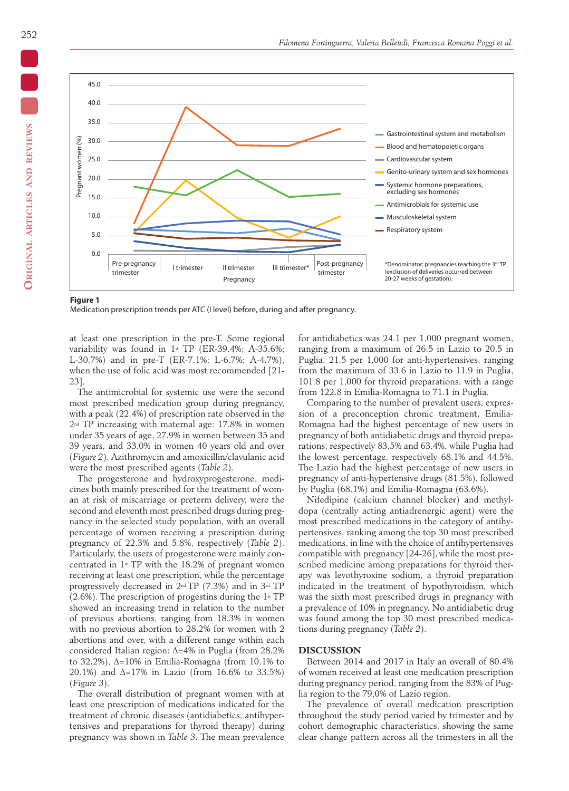

#### **Figure 1**

Medication prescription trends per ATC (I level) before, during and after pregnancy.

at least one prescription in the pre-T. Some regional variability was found in 1<sup>st</sup> TP (ER-39.4%; A-35.6%; L-30.7%) and in pre-T (ER-7.1%; L-6.7%; A-4.7%), when the use of folic acid was most recommended [21- 23].

The antimicrobial for systemic use were the second most prescribed medication group during pregnancy, with a peak (22.4%) of prescription rate observed in the 2nd TP increasing with maternal age: 17.8% in women under 35 years of age, 27.9% in women between 35 and 39 years, and 33.0% in women 40 years old and over (*Figure 2*). Azithromycin and amoxicillin/clavulanic acid were the most prescribed agents (*Table 2*).

The progesterone and hydroxyprogesterone, medicines both mainly prescribed for the treatment of woman at risk of miscarriage or preterm delivery, were the second and eleventh most prescribed drugs during pregnancy in the selected study population, with an overall percentage of women receiving a prescription during pregnancy of 22.3% and 5.8%, respectively (*Table 2*). Particularly, the users of progesterone were mainly concentrated in  $1$ <sup>st</sup> TP with the 18.2% of pregnant women receiving at least one prescription, while the percentage progressively decreased in 2nd TP (7.3%) and in 3rd TP  $(2.6\%)$ . The prescription of progestins during the 1<sup>st</sup> TP showed an increasing trend in relation to the number of previous abortions, ranging from 18.3% in women with no previous abortion to 28.2% for women with 2 abortions and over, with a different range within each considered Italian region: Δ=4% in Puglia (from 28.2% to 32.2%), Δ=10% in Emilia-Romagna (from 10.1% to 20.1%) and Δ=17% in Lazio (from 16.6% to 33.5%) (*Figure 3*).

The overall distribution of pregnant women with at least one prescription of medications indicated for the treatment of chronic diseases (antidiabetics, antihypertensives and preparations for thyroid therapy) during pregnancy was shown in *Table 3*. The mean prevalence for antidiabetics was 24.1 per 1,000 pregnant women, ranging from a maximum of 26.5 in Lazio to 20.5 in Puglia, 21.5 per 1,000 for anti-hypertensives, ranging from the maximum of 33.6 in Lazio to 11.9 in Puglia, 101.8 per 1,000 for thyroid preparations, with a range from 122.8 in Emilia-Romagna to 71.1 in Puglia.

Comparing to the number of prevalent users, expression of a preconception chronic treatment, Emilia-Romagna had the highest percentage of new users in pregnancy of both antidiabetic drugs and thyroid preparations, respectively 83.5% and 63.4%, while Puglia had the lowest percentage, respectively 68.1% and 44.5%. The Lazio had the highest percentage of new users in pregnancy of anti-hypertensive drugs (81.5%), followed by Puglia (68.1%) and Emilia-Romagna (63.6%).

Nifedipine (calcium channel blocker) and methyldopa (centrally acting antiadrenergic agent) were the most prescribed medications in the category of antihypertensives, ranking among the top 30 most prescribed medications, in line with the choice of antihypertensives compatible with pregnancy [24-26],while the most prescribed medicine among preparations for thyroid therapy was levothyroxine sodium, a thyroid preparation indicated in the treatment of hypothyroidism, which was the sixth most prescribed drugs in pregnancy with a prevalence of 10% in pregnancy. No antidiabetic drug was found among the top 30 most prescribed medications during pregnancy (*Table 2*).

#### **DISCUSSION**

Between 2014 and 2017 in Italy an overall of 80.4% of women received at least one medication prescription during pregnancy period, ranging from the 83% of Puglia region to the 79,0% of Lazio region.

The prevalence of overall medication prescription throughout the study period varied by trimester and by cohort demographic characteristics, showing the same clear change pattern across all the trimesters in all the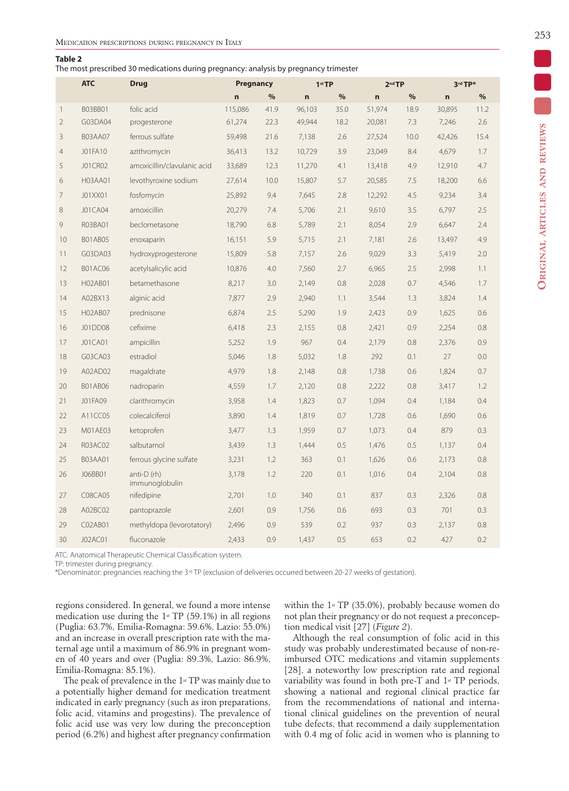#### **Table 2**

The most prescribed 30 medications during pregnancy: analysis by pregnancy trimester

|                | <b>ATC</b>     | <b>Drug</b>                   | Pregnancy   |      | $1st$ TP     |      | 2 <sup>nd</sup> TP |               | 3rd TP*     |               |
|----------------|----------------|-------------------------------|-------------|------|--------------|------|--------------------|---------------|-------------|---------------|
|                |                |                               | $\mathbf n$ | $\%$ | $\mathbf{r}$ | %    | n.                 | $\frac{9}{6}$ | $\mathbf n$ | $\frac{9}{6}$ |
| $\overline{1}$ | B03BB01        | folic acid                    | 115,086     | 41.9 | 96,103       | 35.0 | 51,974             | 18.9          | 30,895      | 11.2          |
| $\overline{2}$ | G03DA04        | progesterone                  | 61,274      | 22.3 | 49,944       | 18.2 | 20,081             | 7.3           | 7,246       | 2.6           |
| 3              | B03AA07        | ferrous sulfate               | 59,498      | 21.6 | 7,138        | 2.6  | 27,524             | 10.0          | 42,426      | 15.4          |
| $\overline{4}$ | J01FA10        | azithromycin                  | 36,413      | 13.2 | 10,729       | 3.9  | 23,049             | 8.4           | 4,679       | 1.7           |
| 5              | J01CR02        | amoxicillin/clavulanic acid   | 33,689      | 12.3 | 11,270       | 4.1  | 13,418             | 4.9           | 12,910      | 4.7           |
| 6              | H03AA01        | levothyroxine sodium          | 27,614      | 10.0 | 15,807       | 5.7  | 20,585             | 7.5           | 18,200      | 6.6           |
| 7              | J01XX01        | fosfomycin                    | 25,892      | 9.4  | 7,645        | 2.8  | 12,292             | 4.5           | 9,234       | 3.4           |
| 8              | <b>J01CA04</b> | amoxicillin                   | 20,279      | 7.4  | 5,706        | 2.1  | 9,610              | 3.5           | 6,797       | 2.5           |
| 9              | R03BA01        | beclometasone                 | 18,790      | 6.8  | 5,789        | 2.1  | 8,054              | 2.9           | 6,647       | 2.4           |
| 10             | <b>B01AB05</b> | enoxaparin                    | 16,151      | 5.9  | 5,715        | 2.1  | 7,181              | 2.6           | 13,497      | 4.9           |
| 11             | G03DA03        | hydroxyprogesterone           | 15,809      | 5.8  | 7,157        | 2.6  | 9,029              | 3.3           | 5,419       | 2.0           |
| 12             | <b>B01AC06</b> | acetylsalicylic acid          | 10,876      | 4.0  | 7,560        | 2.7  | 6,965              | 2.5           | 2,998       | 1.1           |
| 13             | H02AB01        | betamethasone                 | 8,217       | 3.0  | 2,149        | 0.8  | 2,028              | 0.7           | 4,546       | 1.7           |
| 14             | A02BX13        | alginic acid                  | 7,877       | 2.9  | 2,940        | 1.1  | 3,544              | 1.3           | 3,824       | 1.4           |
| 15             | H02AB07        | prednisone                    | 6,874       | 2.5  | 5,290        | 1.9  | 2,423              | 0.9           | 1,625       | 0.6           |
| 16             | <b>J01DD08</b> | cefixime                      | 6,418       | 2.3  | 2,155        | 0.8  | 2,421              | 0.9           | 2,254       | 0.8           |
| 17             | J01CA01        | ampicillin                    | 5,252       | 1.9  | 967          | 0.4  | 2,179              | 0.8           | 2,376       | 0.9           |
| 18             | G03CA03        | estradiol                     | 5,046       | 1.8  | 5,032        | 1.8  | 292                | 0.1           | 27          | 0.0           |
| 19             | A02AD02        | magaldrate                    | 4,979       | 1.8  | 2,148        | 0.8  | 1,738              | 0.6           | 1,824       | 0.7           |
| 20             | <b>B01AB06</b> | nadroparin                    | 4,559       | 1.7  | 2,120        | 0.8  | 2,222              | 0.8           | 3,417       | 1.2           |
| 21             | J01FA09        | clarithromycin                | 3,958       | 1.4  | 1,823        | 0.7  | 1,094              | 0.4           | 1,184       | 0.4           |
| 22             | A11CC05        | colecalciferol                | 3,890       | 1.4  | 1,819        | 0.7  | 1,728              | 0.6           | 1,690       | 0.6           |
| 23             | M01AE03        | ketoprofen                    | 3,477       | 1.3  | 1,959        | 0.7  | 1,073              | 0.4           | 879         | 0.3           |
| 24             | R03AC02        | salbutamol                    | 3,439       | 1.3  | 1,444        | 0.5  | 1,476              | 0.5           | 1,137       | 0.4           |
| 25             | B03AA01        | ferrous glycine sulfate       | 3,231       | 1.2  | 363          | 0.1  | 1,626              | 0.6           | 2,173       | 0.8           |
| 26             | J06BB01        | anti-D (rh)<br>immunoglobulin | 3,178       | 1.2  | 220          | 0.1  | 1,016              | 0.4           | 2,104       | 0.8           |
| 27             | C08CA05        | nifedipine                    | 2,701       | 1.0  | 340          | 0.1  | 837                | 0.3           | 2,326       | 0.8           |
| 28             | A02BC02        | pantoprazole                  | 2,601       | 0.9  | 1,756        | 0.6  | 693                | 0.3           | 701         | 0.3           |
| 29             | C02AB01        | methyldopa (levorotatory)     | 2,496       | 0.9  | 539          | 0.2  | 937                | 0.3           | 2,137       | 0.8           |
| 30             | J02AC01        | fluconazole                   | 2,433       | 0.9  | 1,437        | 0.5  | 653                | 0.2           | 427         | 0.2           |

ATC: Anatomical Therapeutic Chemical Classification system.

TP: trimester during pregnancy.

\*Denominator: pregnancies reaching the 3rd TP (exclusion of deliveries occurred between 20-27 weeks of gestation).

regions considered. In general, we found a more intense medication use during the  $1$ <sup>st</sup> TP (59.1%) in all regions (Puglia: 63.7%, Emilia-Romagna: 59.6%, Lazio: 55.0%) and an increase in overall prescription rate with the maternal age until a maximum of 86.9% in pregnant women of 40 years and over (Puglia: 89.3%, Lazio: 86.9%, Emilia-Romagna: 85.1%).

The peak of prevalence in the  $1$ <sup>st</sup> TP was mainly due to a potentially higher demand for medication treatment indicated in early pregnancy (such as iron preparations, folic acid, vitamins and progestins). The prevalence of folic acid use was very low during the preconception period (6.2%) and highest after pregnancy confirmation

within the  $1$ <sup>st</sup> TP (35.0%), probably because women do not plan their pregnancy or do not request a preconception medical visit [27] (*Figure 2*).

Although the real consumption of folic acid in this study was probably underestimated because of non-reimbursed OTC medications and vitamin supplements [28], a noteworthy low prescription rate and regional variability was found in both pre-T and 1<sup>st</sup> TP periods, showing a national and regional clinical practice far from the recommendations of national and international clinical guidelines on the prevention of neural tube defects, that recommend a daily supplementation with 0.4 mg of folic acid in women who is planning to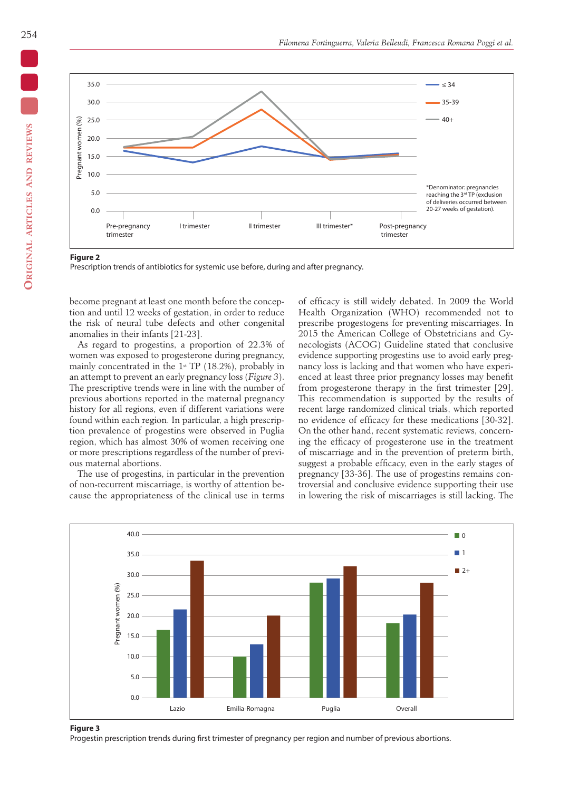

**Figure 2**

Prescription trends of antibiotics for systemic use before, during and after pregnancy.

become pregnant at least one month before the conception and until 12 weeks of gestation, in order to reduce the risk of neural tube defects and other congenital anomalies in their infants [21-23].

As regard to progestins, a proportion of 22.3% of women was exposed to progesterone during pregnancy, mainly concentrated in the  $1$ <sup>st</sup> TP (18.2%), probably in an attempt to prevent an early pregnancy loss (*Figure 3*). The prescriptive trends were in line with the number of previous abortions reported in the maternal pregnancy history for all regions, even if different variations were found within each region. In particular, a high prescription prevalence of progestins were observed in Puglia region, which has almost 30% of women receiving one or more prescriptions regardless of the number of previous maternal abortions.

The use of progestins, in particular in the prevention of non-recurrent miscarriage, is worthy of attention because the appropriateness of the clinical use in terms

of efficacy is still widely debated. In 2009 the World Health Organization (WHO) recommended not to prescribe progestogens for preventing miscarriages. In 2015 the American College of Obstetricians and Gynecologists (ACOG) Guideline stated that conclusive evidence supporting progestins use to avoid early pregnancy loss is lacking and that women who have experienced at least three prior pregnancy losses may benefit from progesterone therapy in the first trimester [29]. This recommendation is supported by the results of recent large randomized clinical trials, which reported no evidence of efficacy for these medications [30-32]. On the other hand, recent systematic reviews, concerning the efficacy of progesterone use in the treatment of miscarriage and in the prevention of preterm birth, suggest a probable efficacy, even in the early stages of pregnancy [33-36]. The use of progestins remains controversial and conclusive evidence supporting their use in lowering the risk of miscarriages is still lacking. The



**Figure 3**

Progestin prescription trends during first trimester of pregnancy per region and number of previous abortions.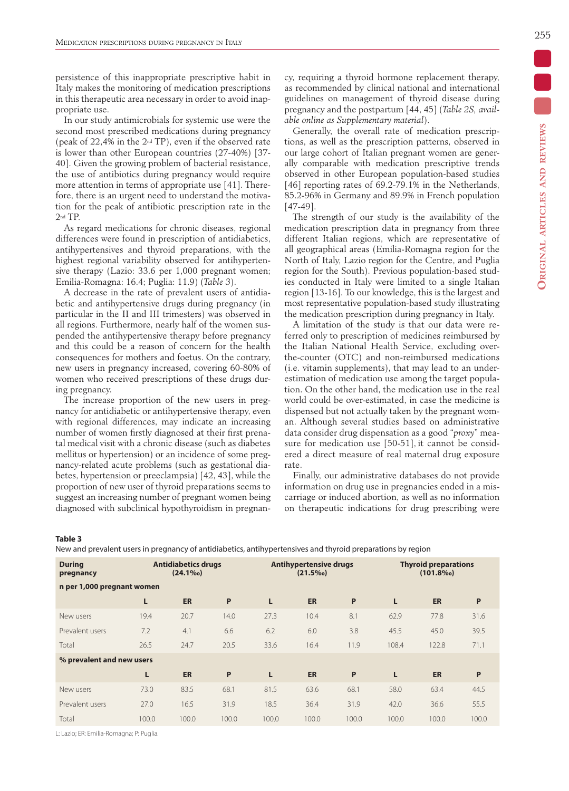persistence of this inappropriate prescriptive habit in Italy makes the monitoring of medication prescriptions in this therapeutic area necessary in order to avoid inappropriate use.

In our study antimicrobials for systemic use were the second most prescribed medications during pregnancy (peak of 22,4% in the 2nd TP), even if the observed rate is lower than other European countries (27-40%) [37- 40]. Given the growing problem of bacterial resistance, the use of antibiotics during pregnancy would require more attention in terms of appropriate use [41]. Therefore, there is an urgent need to understand the motivation for the peak of antibiotic prescription rate in the 2nd TP.

As regard medications for chronic diseases, regional differences were found in prescription of antidiabetics, antihypertensives and thyroid preparations, with the highest regional variability observed for antihypertensive therapy (Lazio: 33.6 per 1,000 pregnant women; Emilia-Romagna: 16.4; Puglia: 11.9) (*Table 3*).

A decrease in the rate of prevalent users of antidiabetic and antihypertensive drugs during pregnancy (in particular in the II and III trimesters) was observed in all regions. Furthermore, nearly half of the women suspended the antihypertensive therapy before pregnancy and this could be a reason of concern for the health consequences for mothers and foetus. On the contrary, new users in pregnancy increased, covering 60-80% of women who received prescriptions of these drugs during pregnancy.

The increase proportion of the new users in pregnancy for antidiabetic or antihypertensive therapy, even with regional differences, may indicate an increasing number of women firstly diagnosed at their first prenatal medical visit with a chronic disease (such as diabetes mellitus or hypertension) or an incidence of some pregnancy-related acute problems (such as gestational diabetes, hypertension or preeclampsia) [42, 43], while the proportion of new user of thyroid preparations seems to suggest an increasing number of pregnant women being diagnosed with subclinical hypothyroidism in pregnancy, requiring a thyroid hormone replacement therapy, as recommended by clinical national and international guidelines on management of thyroid disease during pregnancy and the postpartum [44, 45] (*Table 2S, available online as Supplementary material*).

Generally, the overall rate of medication prescriptions, as well as the prescription patterns, observed in our large cohort of Italian pregnant women are generally comparable with medication prescriptive trends observed in other European population-based studies [46] reporting rates of 69.2-79.1% in the Netherlands, 85.2-96% in Germany and 89.9% in French population [47-49].

The strength of our study is the availability of the medication prescription data in pregnancy from three different Italian regions, which are representative of all geographical areas (Emilia-Romagna region for the North of Italy, Lazio region for the Centre, and Puglia region for the South). Previous population-based studies conducted in Italy were limited to a single Italian region [13-16]. To our knowledge, this is the largest and most representative population-based study illustrating the medication prescription during pregnancy in Italy.

A limitation of the study is that our data were referred only to prescription of medicines reimbursed by the Italian National Health Service, excluding overthe-counter (OTC) and non-reimbursed medications (i.e. vitamin supplements), that may lead to an underestimation of medication use among the target population. On the other hand, the medication use in the real world could be over-estimated, in case the medicine is dispensed but not actually taken by the pregnant woman. Although several studies based on administrative data consider drug dispensation as a good "*proxy*" measure for medication use [50-51], it cannot be considered a direct measure of real maternal drug exposure rate.

Finally, our administrative databases do not provide information on drug use in pregnancies ended in a miscarriage or induced abortion, as well as no information on therapeutic indications for drug prescribing were

#### **Table 3**

New and prevalent users in pregnancy of antidiabetics, antihypertensives and thyroid preparations by region

| <b>During</b><br>pregnancy |       | <b>Antidiabetics drugs</b><br>$(24.1\%)$ |       |       | <b>Antihypertensive drugs</b><br>$(21.5\%)$ |       |       | <b>Thyroid preparations</b><br>$(101.8\%)$ |       |  |  |
|----------------------------|-------|------------------------------------------|-------|-------|---------------------------------------------|-------|-------|--------------------------------------------|-------|--|--|
| n per 1,000 pregnant women |       |                                          |       |       |                                             |       |       |                                            |       |  |  |
|                            | L     | <b>ER</b>                                | P     | L     | <b>ER</b>                                   | P     | L     | <b>ER</b>                                  | P     |  |  |
| New users                  | 19.4  | 20.7                                     | 14.0  | 27.3  | 10.4                                        | 8.1   | 62.9  | 77.8                                       | 31.6  |  |  |
| Prevalent users            | 7.2   | 4.1                                      | 6.6   | 6.2   | 6.0                                         | 3.8   | 45.5  | 45.0                                       | 39.5  |  |  |
| Total                      | 26.5  | 24.7                                     | 20.5  | 33.6  | 16.4                                        | 11.9  | 108.4 | 122.8                                      | 71.1  |  |  |
| % prevalent and new users  |       |                                          |       |       |                                             |       |       |                                            |       |  |  |
|                            | L     | <b>ER</b>                                | P     | L     | <b>ER</b>                                   | P     | L     | <b>ER</b>                                  | P     |  |  |
| New users                  | 73.0  | 83.5                                     | 68.1  | 81.5  | 63.6                                        | 68.1  | 58.0  | 63.4                                       | 44.5  |  |  |
| Prevalent users            | 27.0  | 16.5                                     | 31.9  | 18.5  | 36.4                                        | 31.9  | 42.0  | 36.6                                       | 55.5  |  |  |
| Total                      | 100.0 | 100.0                                    | 100.0 | 100.0 | 100.0                                       | 100.0 | 100.0 | 100.0                                      | 100.0 |  |  |

L: Lazio; ER: Emilia-Romagna; P: Puglia.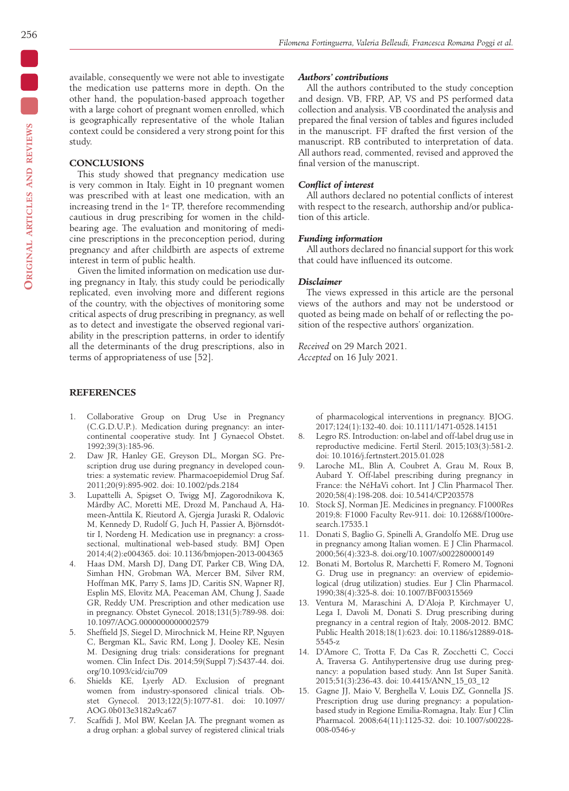available, consequently we were not able to investigate the medication use patterns more in depth. On the other hand, the population-based approach together with a large cohort of pregnant women enrolled, which is geographically representative of the whole Italian context could be considered a very strong point for this study.

### **CONCLUSIONS**

This study showed that pregnancy medication use is very common in Italy. Eight in 10 pregnant women was prescribed with at least one medication, with an increasing trend in the 1st TP, therefore recommending cautious in drug prescribing for women in the childbearing age. The evaluation and monitoring of medicine prescriptions in the preconception period, during pregnancy and after childbirth are aspects of extreme interest in term of public health.

Given the limited information on medication use during pregnancy in Italy, this study could be periodically replicated, even involving more and different regions of the country, with the objectives of monitoring some critical aspects of drug prescribing in pregnancy, as well as to detect and investigate the observed regional variability in the prescription patterns, in order to identify all the determinants of the drug prescriptions, also in terms of appropriateness of use [52].

#### **REFERENCES**

- 1. Collaborative Group on Drug Use in Pregnancy (C.G.D.U.P.). Medication during pregnancy: an intercontinental cooperative study. Int J Gynaecol Obstet. 1992;39(3):185-96.
- 2. Daw JR, Hanley GE, Greyson DL, Morgan SG. Prescription drug use during pregnancy in developed countries: a systematic review. Pharmacoepidemiol Drug Saf. 2011;20(9):895-902. doi: 10.1002/pds.2184
- 3. Lupattelli A, Spigset O, Twigg MJ, Zagorodnikova K, Mårdby AC, Moretti ME, Drozd M, Panchaud A, Hämeen-Anttila K, Rieutord A, Gjergja Juraski R, Odalovic M, Kennedy D, Rudolf G, Juch H, Passier A, Björnsdóttir I, Nordeng H. Medication use in pregnancy: a crosssectional, multinational web-based study. BMJ Open 2014;4(2):e004365. doi: 10.1136/bmjopen-2013-004365
- 4. Haas DM, Marsh DJ, Dang DT, Parker CB, Wing DA, Simhan HN, Grobman WA, Mercer BM, Silver RM, Hoffman MK, Parry S, Iams JD, Caritis SN, Wapner RJ, Esplin MS, Elovitz MA, Peaceman AM, Chung J, Saade GR, Reddy UM. Prescription and other medication use in pregnancy. Obstet Gynecol. 2018;131(5):789-98. doi: 10.1097/AOG.0000000000002579
- 5. Sheffield JS, Siegel D, Mirochnick M, Heine RP, Nguyen C, Bergman KL, Savic RM, Long J, Dooley KE, Nesin M. Designing drug trials: considerations for pregnant women. Clin Infect Dis. 2014;59(Suppl 7):S437-44. doi. org/10.1093/cid/ciu709
- 6. Shields KE, Lyerly AD. Exclusion of pregnant women from industry-sponsored clinical trials. Obstet Gynecol. 2013;122(5):1077-81. doi: 10.1097/ AOG.0b013e3182a9ca67
- 7. Scaffidi J, Mol BW, Keelan JA. The pregnant women as a drug orphan: a global survey of registered clinical trials

#### *Authors' contributions*

All the authors contributed to the study conception and design. VB, FRP, AP, VS and PS performed data collection and analysis. VB coordinated the analysis and prepared the final version of tables and figures included in the manuscript. FF drafted the first version of the manuscript. RB contributed to interpretation of data. All authors read, commented, revised and approved the final version of the manuscript.

### *Conflict of interest*

All authors declared no potential conflicts of interest with respect to the research, authorship and/or publication of this article.

#### *Funding information*

All authors declared no financial support for this work that could have influenced its outcome.

#### *Disclaimer*

The views expressed in this article are the personal views of the authors and may not be understood or quoted as being made on behalf of or reflecting the position of the respective authors' organization.

*Received* on 29 March 2021. *Accepted* on 16 July 2021.

> of pharmacological interventions in pregnancy. BJOG. 2017;124(1):132-40. doi: 10.1111/1471-0528.14151

- 8. Legro RS. Introduction: on-label and off-label drug use in reproductive medicine. Fertil Steril. 2015;103(3):581-2. doi: 10.1016/j.fertnstert.2015.01.028
- 9. Laroche ML, Blin A, Coubret A, Grau M, Roux B, Aubard Y. Off-label prescribing during pregnancy in France: the NéHaVi cohort. Int J Clin Pharmacol Ther. 2020;58(4):198-208. doi: 10.5414/CP203578
- 10. Stock SJ, Norman JE. Medicines in pregnancy. F1000Res 2019;8: F1000 Faculty Rev-911. doi: 10.12688/f1000research.17535.1
- 11. Donati S, Baglio G, Spinelli A, Grandolfo ME. Drug use in pregnancy among Italian women. E J Clin Pharmacol. 2000;56(4):323-8. doi.org/10.1007/s002280000149
- 12. Bonati M, Bortolus R, Marchetti F, Romero M, Tognoni G. Drug use in pregnancy: an overview of epidemiological (drug utilization) studies. Eur J Clin Pharmacol. 1990;38(4):325-8. doi: 10.1007/BF00315569
- 13. Ventura M, Maraschini A, D'Aloja P, Kirchmayer U, Lega I, Davoli M, Donati S. Drug prescribing during pregnancy in a central region of Italy, 2008-2012. BMC Public Health 2018;18(1):623. doi: 10.1186/s12889-018- 5545-z
- 14. D'Amore C, Trotta F, Da Cas R, Zocchetti C, Cocci A, Traversa G. Antihypertensive drug use during pregnancy: a population based study. Ann Ist Super Sanità. 2015;51(3):236-43. doi: 10.4415/ANN\_15\_03\_12
- 15. Gagne JJ, Maio V, Berghella V, Louis DZ, Gonnella JS. Prescription drug use during pregnancy: a populationbased study in Regione Emilia-Romagna, Italy. Eur J Clin Pharmacol. 2008;64(11):1125-32. doi: 10.1007/s00228- 008-0546-y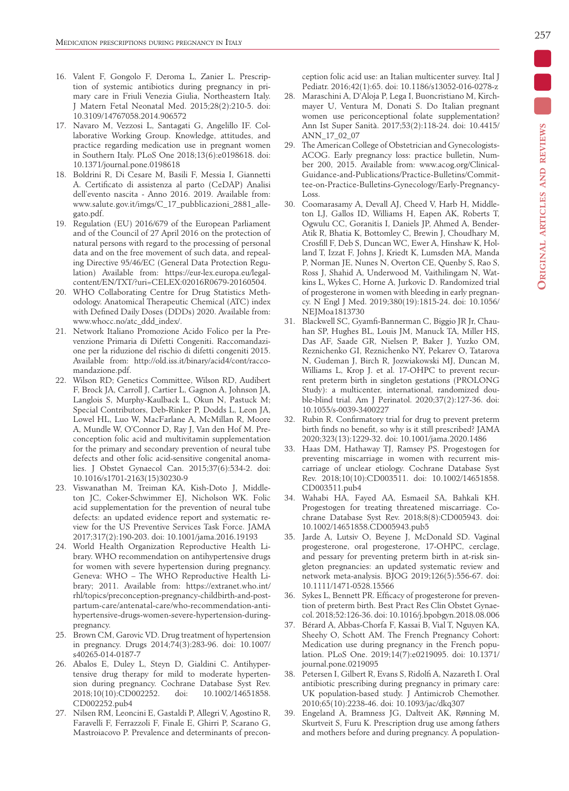- 16. Valent F, Gongolo F, Deroma L, Zanier L. Prescription of systemic antibiotics during pregnancy in primary care in Friuli Venezia Giulia, Northeastern Italy. J Matern Fetal Neonatal Med. 2015;28(2):210-5. doi: 10.3109/14767058.2014.906572
- 17. Navaro M, Vezzosi L, Santagati G, Angelillo IF. Collaborative Working Group. Knowledge, attitudes, and practice regarding medication use in pregnant women in Southern Italy. PLoS One 2018;13(6):e0198618. doi: 10.1371/journal.pone.0198618
- 18. Boldrini R, Di Cesare M, Basili F, Messia I, Giannetti A. Certificato di assistenza al parto (CeDAP) Analisi dell'evento nascita - Anno 2016. 2019. Available from: www.salute.gov.it/imgs/C\_17\_pubblicazioni\_2881\_allegato.pdf.
- 19. Regulation (EU) 2016/679 of the European Parliament and of the Council of 27 April 2016 on the protection of natural persons with regard to the processing of personal data and on the free movement of such data, and repealing Directive 95/46/EC (General Data Protection Regulation) Available from: https://eur-lex.europa.eu/legalcontent/EN/TXT/?uri=CELEX:02016R0679-20160504.
- 20. WHO Collaborating Centre for Drug Statistics Methodology. Anatomical Therapeutic Chemical (ATC) index with Defined Daily Doses (DDDs) 2020. Available from: www.whocc.no/atc\_ddd\_index/.
- 21. Network Italiano Promozione Acido Folico per la Prevenzione Primaria di Difetti Congeniti. Raccomandazione per la riduzione del rischio di difetti congeniti 2015. Available from: http://old.iss.it/binary/acid4/cont/raccomandazione.pdf.
- 22. Wilson RD; Genetics Committee, Wilson RD, Audibert F, Brock JA, Carroll J, Cartier L, Gagnon A, Johnson JA, Langlois S, Murphy-Kaulback L, Okun N, Pastuck M; Special Contributors, Deb-Rinker P, Dodds L, Leon JA, Lowel HL, Luo W, MacFarlane A, McMillan R, Moore A, Mundle W, O'Connor D, Ray J, Van den Hof M. Preconception folic acid and multivitamin supplementation for the primary and secondary prevention of neural tube defects and other folic acid-sensitive congenital anomalies. J Obstet Gynaecol Can. 2015;37(6):534-2. doi: 10.1016/s1701-2163(15)30230-9
- 23. Viswanathan M, Treiman KA, Kish-Doto J, Middleton JC, Coker-Schwimmer EJ, Nicholson WK. Folic acid supplementation for the prevention of neural tube defects: an updated evidence report and systematic review for the US Preventive Services Task Force. JAMA 2017;317(2):190-203. doi: 10.1001/jama.2016.19193
- 24. World Health Organization Reproductive Health Library. WHO recommendation on antihypertensive drugs for women with severe hypertension during pregnancy. Geneva: WHO – The WHO Reproductive Health Library; 2011. Available from: https://extranet.who.int/ rhl/topics/preconception-pregnancy-childbirth-and-postpartum-care/antenatal-care/who-recommendation-antihypertensive-drugs-women-severe-hypertension-duringpregnancy.
- 25. Brown CM, Garovic VD. Drug treatment of hypertension in pregnancy. Drugs 2014;74(3):283-96. doi: 10.1007/ s40265-014-0187-7
- 26. Abalos E, Duley L, Steyn D, Gialdini C. Antihypertensive drug therapy for mild to moderate hypertension during pregnancy. Cochrane Database Syst Rev. 2018;10(10):CD002252. doi: 10.1002/14651858. CD002252.pub4
- 27. Nilsen RM, Leoncini E, Gastaldi P, Allegri V, Agostino R, Faravelli F, Ferrazzoli F, Finale E, Ghirri P, Scarano G, Mastroiacovo P. Prevalence and determinants of precon-

ception folic acid use: an Italian multicenter survey. Ital J Pediatr. 2016;42(1):65. doi: 10.1186/s13052-016-0278-z

- 28. Maraschini A, D'Aloja P, Lega I, Buoncristiano M, Kirchmayer U, Ventura M, Donati S. Do Italian pregnant women use periconceptional folate supplementation? Ann Ist Super Sanità. 2017;53(2):118-24. doi: 10.4415/ ANN\_17\_02\_07
- 29. The American College of Obstetrician and Gynecologists-ACOG. Early pregnancy loss: practice bulletin, Number 200, 2015. Available from: www.acog.org/Clinical-Guidance-and-Publications/Practice-Bulletins/Committee-on-Practice-Bulletins-Gynecology/Early-Pregnancy-Loss.
- 30. Coomarasamy A, Devall AJ, Cheed V, Harb H, Middleton LJ, Gallos ID, Williams H, Eapen AK, Roberts T, Ogwulu CC, Goranitis I, Daniels JP, Ahmed A, Bender-Atik R, Bhatia K, Bottomley C, Brewin J, Choudhary M, Crosfill F, Deb S, Duncan WC, Ewer A, Hinshaw K, Holland T, Izzat F, Johns J, Kriedt K, Lumsden MA, Manda P, Norman JE, Nunes N, Overton CE, Quenby S, Rao S, Ross J, Shahid A, Underwood M, Vaithilingam N, Watkins L, Wykes C, Horne A, Jurkovic D. Randomized trial of progesterone in women with bleeding in early pregnancy. N Engl J Med. 2019;380(19):1815-24. doi: 10.1056/ NEJMoa1813730
- 31. Blackwell SC, Gyamfi-Bannerman C, Biggio JR Jr, Chauhan SP, Hughes BL, Louis JM, Manuck TA, Miller HS, Das AF, Saade GR, Nielsen P, Baker J, Yuzko OM, Reznichenko GI, Reznichenko NY, Pekarev O, Tatarova N, Gudeman J, Birch R, Jozwiakowski MJ, Duncan M, Williams L, Krop J. et al. 17-OHPC to prevent recurrent preterm birth in singleton gestations (PROLONG Study): a multicenter, international, randomized double-blind trial. Am J Perinatol. 2020;37(2):127-36. doi: 10.1055/s-0039-3400227
- 32. Rubin R. Confirmatory trial for drug to prevent preterm birth finds no benefit, so why is it still prescribed? JAMA 2020;323(13):1229-32. doi: 10.1001/jama.2020.1486
- 33. Haas DM, Hathaway TJ, Ramsey PS. Progestogen for preventing miscarriage in women with recurrent miscarriage of unclear etiology. Cochrane Database Syst Rev. 2018;10(10):CD003511. doi: 10.1002/14651858. CD003511.pub4
- 34. Wahabi HA, Fayed AA, Esmaeil SA, Bahkali KH. Progestogen for treating threatened miscarriage. Cochrane Database Syst Rev. 2018;8(8):CD005943. doi: 10.1002/14651858.CD005943.pub5
- 35. Jarde A, Lutsiv O, Beyene J, McDonald SD. Vaginal progesterone, oral progesterone, 17-OHPC, cerclage, and pessary for preventing preterm birth in at-risk singleton pregnancies: an updated systematic review and network meta-analysis. BJOG 2019;126(5):556-67. doi: 10.1111/1471-0528.15566
- 36. Sykes L, Bennett PR. Efficacy of progesterone for prevention of preterm birth. Best Pract Res Clin Obstet Gynaecol. 2018;52:126-36. doi: 10.1016/j.bpobgyn.2018.08.006
- 37. Bérard A, Abbas-Chorfa F, Kassai B, Vial T, Nguyen KA, Sheehy O, Schott AM. The French Pregnancy Cohort: Medication use during pregnancy in the French population. PLoS One. 2019;14(7):e0219095. doi: 10.1371/ journal.pone.0219095
- 38. Petersen I, Gilbert R, Evans S, Ridolfi A, Nazareth I. Oral antibiotic prescribing during pregnancy in primary care: UK population-based study. J Antimicrob Chemother. 2010;65(10):2238-46. doi: 10.1093/jac/dkq307
- 39. Engeland A, Bramness JG, Daltveit AK, Rønning M, Skurtveit S, Furu K. Prescription drug use among fathers and mothers before and during pregnancy. A population-